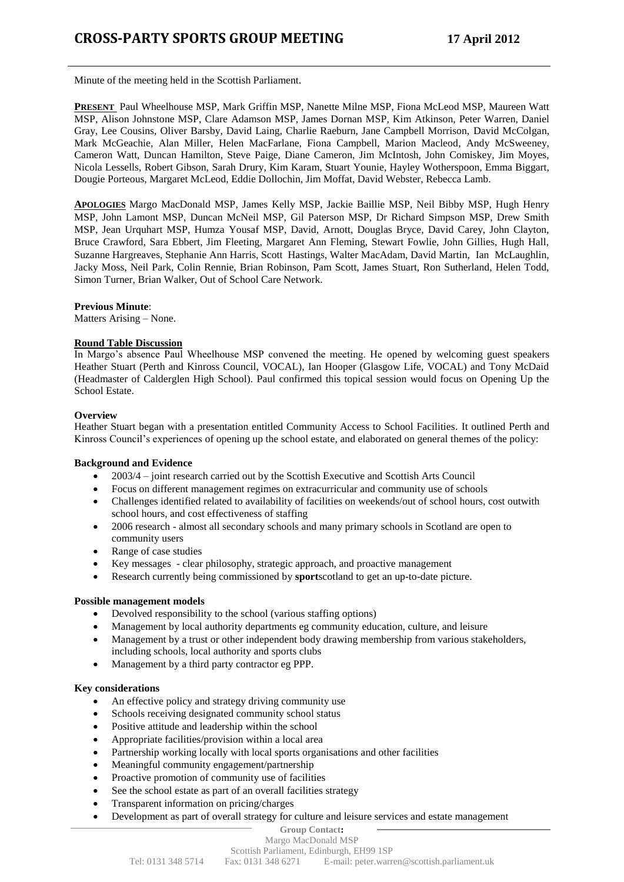Minute of the meeting held in the Scottish Parliament.

**PRESENT** Paul Wheelhouse MSP, Mark Griffin MSP, Nanette Milne MSP, Fiona McLeod MSP, Maureen Watt MSP, Alison Johnstone MSP, Clare Adamson MSP, James Dornan MSP, Kim Atkinson, Peter Warren, Daniel Gray, Lee Cousins, Oliver Barsby, David Laing, Charlie Raeburn, Jane Campbell Morrison, David McColgan, Mark McGeachie, Alan Miller, Helen MacFarlane, Fiona Campbell, Marion Macleod, Andy McSweeney, Cameron Watt, Duncan Hamilton, Steve Paige, Diane Cameron, Jim McIntosh, John Comiskey, Jim Moyes, Nicola Lessells, Robert Gibson, Sarah Drury, Kim Karam, Stuart Younie, Hayley Wotherspoon, Emma Biggart, Dougie Porteous, Margaret McLeod, Eddie Dollochin, Jim Moffat, David Webster, Rebecca Lamb.

**APOLOGIES** Margo MacDonald MSP, James Kelly MSP, Jackie Baillie MSP, Neil Bibby MSP, Hugh Henry MSP, John Lamont MSP, Duncan McNeil MSP, Gil Paterson MSP, Dr Richard Simpson MSP, Drew Smith MSP, Jean Urquhart MSP, Humza Yousaf MSP, David, Arnott, Douglas Bryce, David Carey, John Clayton, Bruce Crawford, Sara Ebbert, Jim Fleeting, Margaret Ann Fleming, Stewart Fowlie, John Gillies, Hugh Hall, Suzanne Hargreaves, Stephanie Ann Harris, Scott Hastings, Walter MacAdam, David Martin, Ian McLaughlin, Jacky Moss, Neil Park, Colin Rennie, Brian Robinson, Pam Scott, James Stuart, Ron Sutherland, Helen Todd, Simon Turner, Brian Walker, Out of School Care Network.

#### **Previous Minute**:

Matters Arising – None.

### **Round Table Discussion**

In Margo's absence Paul Wheelhouse MSP convened the meeting. He opened by welcoming guest speakers Heather Stuart (Perth and Kinross Council, VOCAL), Ian Hooper (Glasgow Life, VOCAL) and Tony McDaid (Headmaster of Calderglen High School). Paul confirmed this topical session would focus on Opening Up the School Estate.

### **Overview**

Heather Stuart began with a presentation entitled Community Access to School Facilities. It outlined Perth and Kinross Council's experiences of opening up the school estate, and elaborated on general themes of the policy:

### **Background and Evidence**

- 2003/4 joint research carried out by the Scottish Executive and Scottish Arts Council
- Focus on different management regimes on extracurricular and community use of schools
- Challenges identified related to availability of facilities on weekends/out of school hours, cost outwith school hours, and cost effectiveness of staffing
- 2006 research almost all secondary schools and many primary schools in Scotland are open to community users
- Range of case studies
- Key messages clear philosophy, strategic approach, and proactive management
- Research currently being commissioned by **sport**scotland to get an up-to-date picture.

### **Possible management models**

- Devolved responsibility to the school (various staffing options)
- Management by local authority departments eg community education, culture, and leisure
- Management by a trust or other independent body drawing membership from various stakeholders, including schools, local authority and sports clubs
- Management by a third party contractor eg PPP.

### **Key considerations**

- An effective policy and strategy driving community use
- Schools receiving designated community school status
- Positive attitude and leadership within the school
- Appropriate facilities/provision within a local area
- Partnership working locally with local sports organisations and other facilities
- Meaningful community engagement/partnership
- Proactive promotion of community use of facilities
- See the school estate as part of an overall facilities strategy
- Transparent information on pricing/charges
- Development as part of overall strategy for culture and leisure services and estate management

## **Group Contact:**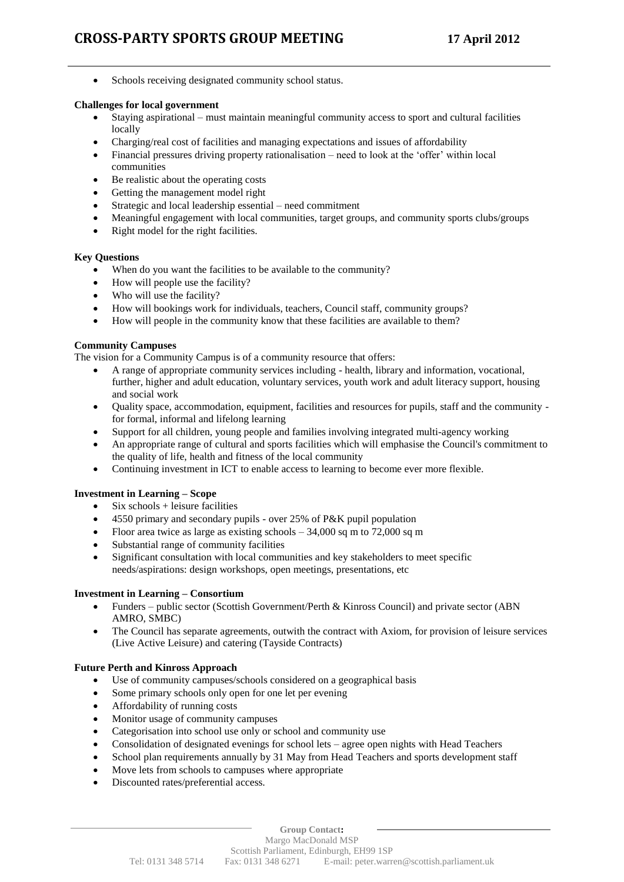• Schools receiving designated community school status.

## **Challenges for local government**

- Staying aspirational must maintain meaningful community access to sport and cultural facilities locally
- Charging/real cost of facilities and managing expectations and issues of affordability
- Financial pressures driving property rationalisation need to look at the 'offer' within local communities
- Be realistic about the operating costs
- Getting the management model right
- Strategic and local leadership essential need commitment
- Meaningful engagement with local communities, target groups, and community sports clubs/groups
- Right model for the right facilities.

## **Key Questions**

- When do you want the facilities to be available to the community?
- How will people use the facility?
- Who will use the facility?
- How will bookings work for individuals, teachers, Council staff, community groups?
- How will people in the community know that these facilities are available to them?

## **Community Campuses**

The vision for a Community Campus is of a community resource that offers:

- A range of appropriate community services including health, library and information, vocational, further, higher and adult education, voluntary services, youth work and adult literacy support, housing and social work
- Quality space, accommodation, equipment, facilities and resources for pupils, staff and the community for formal, informal and lifelong learning
- Support for all children, young people and families involving integrated multi-agency working
- An appropriate range of cultural and sports facilities which will emphasise the Council's commitment to the quality of life, health and fitness of the local community
- Continuing investment in ICT to enable access to learning to become ever more flexible.

### **Investment in Learning – Scope**

- Six schools + leisure facilities
- 4550 primary and secondary pupils over 25% of P&K pupil population
- Floor area twice as large as existing schools 34,000 sq m to 72,000 sq m
- Substantial range of community facilities
- Significant consultation with local communities and key stakeholders to meet specific needs/aspirations: design workshops, open meetings, presentations, etc

### **Investment in Learning – Consortium**

- Funders public sector (Scottish Government/Perth & Kinross Council) and private sector (ABN AMRO, SMBC)
- The Council has separate agreements, outwith the contract with Axiom, for provision of leisure services (Live Active Leisure) and catering (Tayside Contracts)

# **Future Perth and Kinross Approach**

- Use of community campuses/schools considered on a geographical basis
- Some primary schools only open for one let per evening
- Affordability of running costs
- Monitor usage of community campuses
- Categorisation into school use only or school and community use
- Consolidation of designated evenings for school lets agree open nights with Head Teachers
- School plan requirements annually by 31 May from Head Teachers and sports development staff
- Move lets from schools to campuses where appropriate
- Discounted rates/preferential access.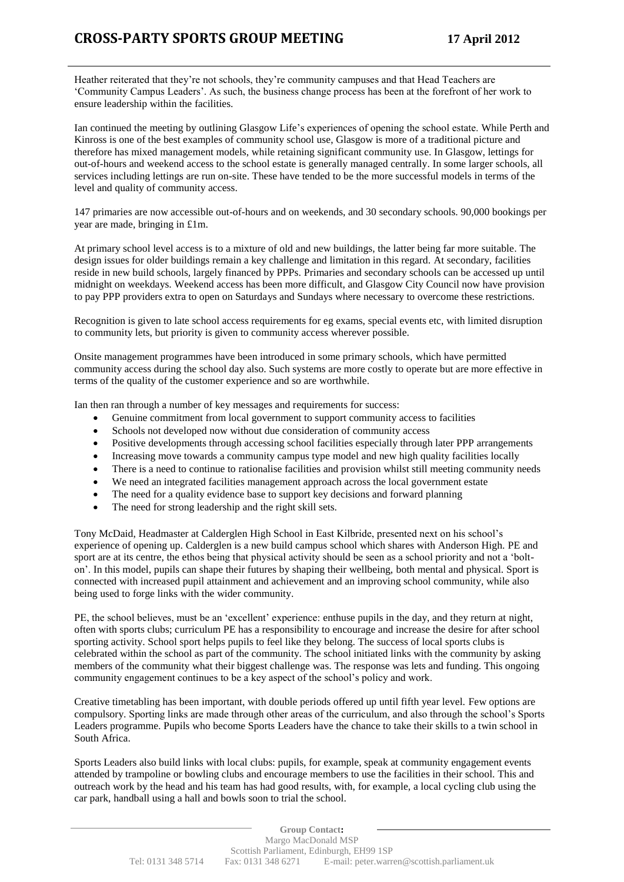Heather reiterated that they're not schools, they're community campuses and that Head Teachers are 'Community Campus Leaders'. As such, the business change process has been at the forefront of her work to ensure leadership within the facilities.

Ian continued the meeting by outlining Glasgow Life's experiences of opening the school estate. While Perth and Kinross is one of the best examples of community school use, Glasgow is more of a traditional picture and therefore has mixed management models, while retaining significant community use. In Glasgow, lettings for out-of-hours and weekend access to the school estate is generally managed centrally. In some larger schools, all services including lettings are run on-site. These have tended to be the more successful models in terms of the level and quality of community access.

147 primaries are now accessible out-of-hours and on weekends, and 30 secondary schools. 90,000 bookings per year are made, bringing in £1m.

At primary school level access is to a mixture of old and new buildings, the latter being far more suitable. The design issues for older buildings remain a key challenge and limitation in this regard. At secondary, facilities reside in new build schools, largely financed by PPPs. Primaries and secondary schools can be accessed up until midnight on weekdays. Weekend access has been more difficult, and Glasgow City Council now have provision to pay PPP providers extra to open on Saturdays and Sundays where necessary to overcome these restrictions.

Recognition is given to late school access requirements for eg exams, special events etc, with limited disruption to community lets, but priority is given to community access wherever possible.

Onsite management programmes have been introduced in some primary schools, which have permitted community access during the school day also. Such systems are more costly to operate but are more effective in terms of the quality of the customer experience and so are worthwhile.

Ian then ran through a number of key messages and requirements for success:

- Genuine commitment from local government to support community access to facilities
- Schools not developed now without due consideration of community access
- Positive developments through accessing school facilities especially through later PPP arrangements
- Increasing move towards a community campus type model and new high quality facilities locally
- There is a need to continue to rationalise facilities and provision whilst still meeting community needs
- We need an integrated facilities management approach across the local government estate
- The need for a quality evidence base to support key decisions and forward planning
- The need for strong leadership and the right skill sets.

Tony McDaid, Headmaster at Calderglen High School in East Kilbride, presented next on his school's experience of opening up. Calderglen is a new build campus school which shares with Anderson High. PE and sport are at its centre, the ethos being that physical activity should be seen as a school priority and not a 'bolton'. In this model, pupils can shape their futures by shaping their wellbeing, both mental and physical. Sport is connected with increased pupil attainment and achievement and an improving school community, while also being used to forge links with the wider community.

PE, the school believes, must be an 'excellent' experience: enthuse pupils in the day, and they return at night, often with sports clubs; curriculum PE has a responsibility to encourage and increase the desire for after school sporting activity. School sport helps pupils to feel like they belong. The success of local sports clubs is celebrated within the school as part of the community. The school initiated links with the community by asking members of the community what their biggest challenge was. The response was lets and funding. This ongoing community engagement continues to be a key aspect of the school's policy and work.

Creative timetabling has been important, with double periods offered up until fifth year level. Few options are compulsory. Sporting links are made through other areas of the curriculum, and also through the school's Sports Leaders programme. Pupils who become Sports Leaders have the chance to take their skills to a twin school in South Africa.

Sports Leaders also build links with local clubs: pupils, for example, speak at community engagement events attended by trampoline or bowling clubs and encourage members to use the facilities in their school. This and outreach work by the head and his team has had good results, with, for example, a local cycling club using the car park, handball using a hall and bowls soon to trial the school.